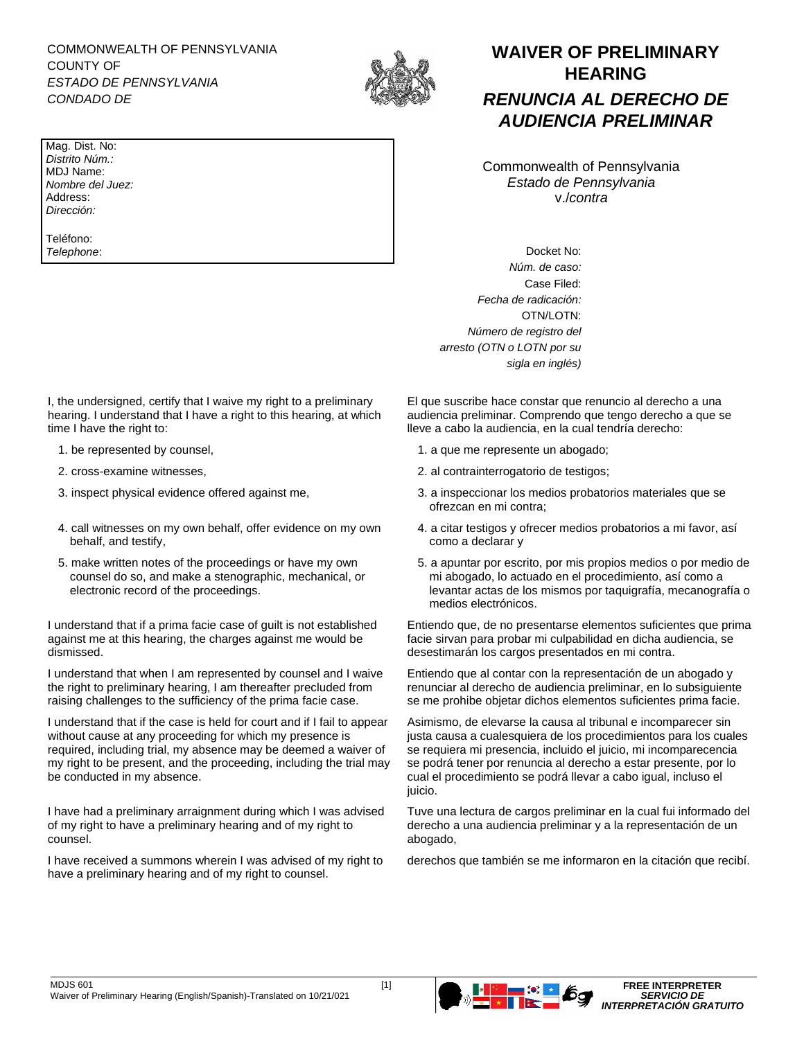COMMONWEALTH OF PENNSYLVANIA COUNTY OF *ESTADO DE PENNSYLVANIA CONDADO DE*



Mag. Dist. No: *Distrito Núm.:* MDJ Name: *Nombre del Juez:* Address: *Dirección:*

Teléfono: *Telephone*:

I, the undersigned, certify that I waive my right to a preliminary hearing. I understand that I have a right to this hearing, at which time I have the right to:

- 
- 
- 
- 4. call witnesses on my own behalf, offer evidence on my own behalf, and testify,
- 5. make written notes of the proceedings or have my own counsel do so, and make a stenographic, mechanical, or electronic record of the proceedings.

I understand that if a prima facie case of guilt is not established against me at this hearing, the charges against me would be dismissed.

I understand that when I am represented by counsel and I waive the right to preliminary hearing, I am thereafter precluded from raising challenges to the sufficiency of the prima facie case.

I understand that if the case is held for court and if I fail to appear without cause at any proceeding for which my presence is required, including trial, my absence may be deemed a waiver of my right to be present, and the proceeding, including the trial may be conducted in my absence.

I have had a preliminary arraignment during which I was advised of my right to have a preliminary hearing and of my right to counsel.

I have received a summons wherein I was advised of my right to have a preliminary hearing and of my right to counsel.

**WAIVER OF PRELIMINARY HEARING** *RENUNCIA AL DERECHO DE AUDIENCIA PRELIMINAR*

Commonwealth of Pennsylvania *Estado de Pennsylvania* v./*contra*

Docket No: *Núm. de caso:* Case Filed: *Fecha de radicación:*  OTN/LOTN: *Número de registro del arresto (OTN o LOTN por su sigla en inglés)*

El que suscribe hace constar que renuncio al derecho a una audiencia preliminar. Comprendo que tengo derecho a que se lleve a cabo la audiencia, en la cual tendría derecho:

- 1. be represented by counsel, 1. a que me represente un abogado;
- 2. cross-examine witnesses, 2. al contrainterrogatorio de testigos;
- 3. inspect physical evidence offered against me, 3. a inspeccionar los medios probatorios materiales que se ofrezcan en mi contra;
	- 4. a citar testigos y ofrecer medios probatorios a mi favor, así como a declarar y
	- 5. a apuntar por escrito, por mis propios medios o por medio de mi abogado, lo actuado en el procedimiento, así como a levantar actas de los mismos por taquigrafía, mecanografía o medios electrónicos.

Entiendo que, de no presentarse elementos suficientes que prima facie sirvan para probar mi culpabilidad en dicha audiencia, se desestimarán los cargos presentados en mi contra.

Entiendo que al contar con la representación de un abogado y renunciar al derecho de audiencia preliminar, en lo subsiguiente se me prohibe objetar dichos elementos suficientes prima facie.

Asimismo, de elevarse la causa al tribunal e incomparecer sin justa causa a cualesquiera de los procedimientos para los cuales se requiera mi presencia, incluido el juicio, mi incomparecencia se podrá tener por renuncia al derecho a estar presente, por lo cual el procedimiento se podrá llevar a cabo igual, incluso el juicio.

Tuve una lectura de cargos preliminar en la cual fui informado del derecho a una audiencia preliminar y a la representación de un abogado,

derechos que también se me informaron en la citación que recibí.